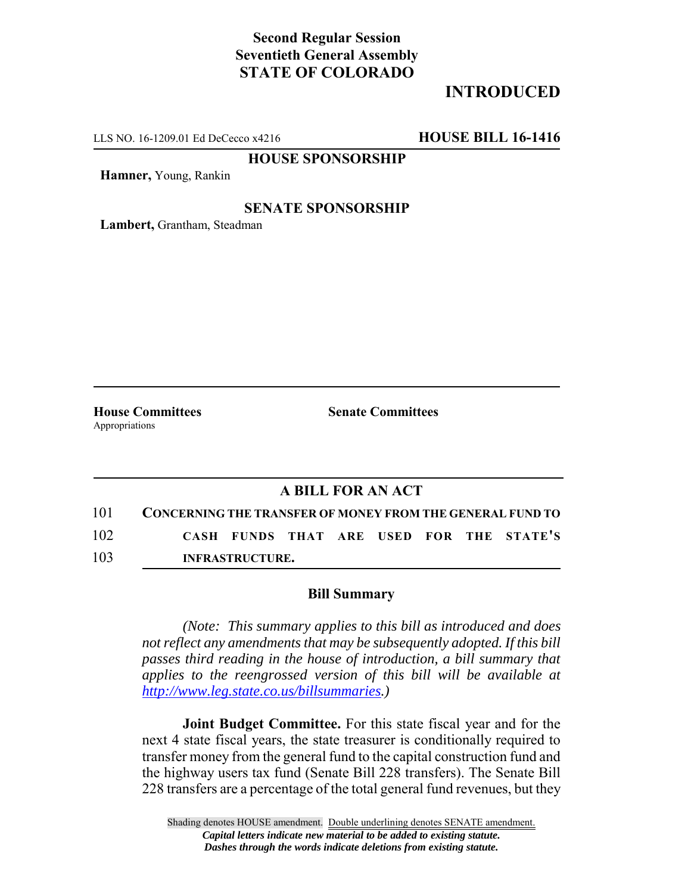# **Second Regular Session Seventieth General Assembly STATE OF COLORADO**

# **INTRODUCED**

LLS NO. 16-1209.01 Ed DeCecco x4216 **HOUSE BILL 16-1416**

**HOUSE SPONSORSHIP**

**Hamner,** Young, Rankin

### **SENATE SPONSORSHIP**

**Lambert,** Grantham, Steadman

Appropriations

**House Committees Senate Committees** 

## **A BILL FOR AN ACT**

| 101 |                        |  |  |  |  |  |  | <b>CONCERNING THE TRANSFER OF MONEY FROM THE GENERAL FUND TO</b> |
|-----|------------------------|--|--|--|--|--|--|------------------------------------------------------------------|
| 102 |                        |  |  |  |  |  |  | CASH FUNDS THAT ARE USED FOR THE STATE'S                         |
| 103 | <b>INFRASTRUCTURE.</b> |  |  |  |  |  |  |                                                                  |

#### **Bill Summary**

*(Note: This summary applies to this bill as introduced and does not reflect any amendments that may be subsequently adopted. If this bill passes third reading in the house of introduction, a bill summary that applies to the reengrossed version of this bill will be available at http://www.leg.state.co.us/billsummaries.)*

**Joint Budget Committee.** For this state fiscal year and for the next 4 state fiscal years, the state treasurer is conditionally required to transfer money from the general fund to the capital construction fund and the highway users tax fund (Senate Bill 228 transfers). The Senate Bill 228 transfers are a percentage of the total general fund revenues, but they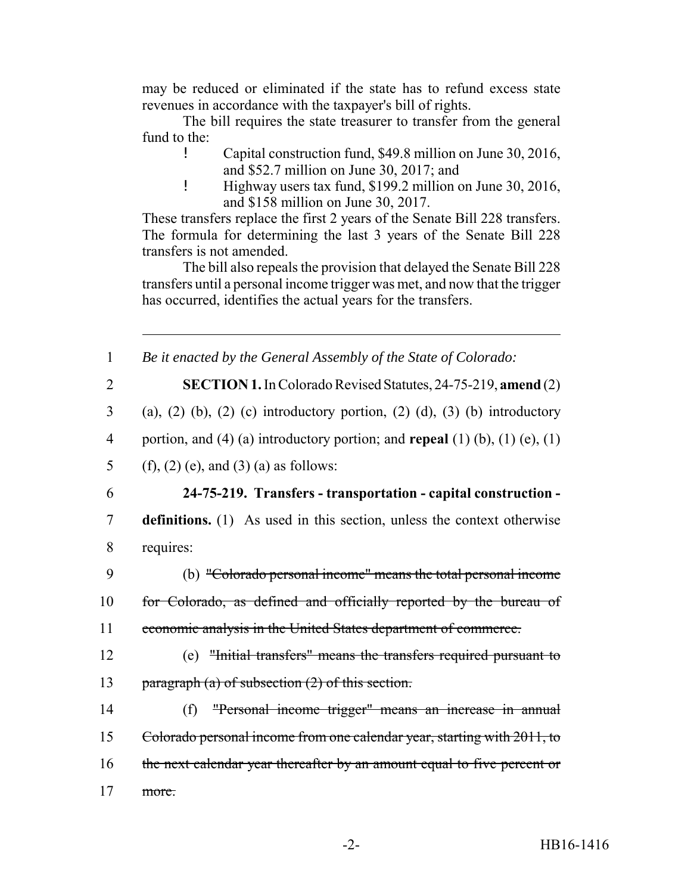may be reduced or eliminated if the state has to refund excess state revenues in accordance with the taxpayer's bill of rights.

The bill requires the state treasurer to transfer from the general fund to the:

- ! Capital construction fund, \$49.8 million on June 30, 2016, and \$52.7 million on June 30, 2017; and
- ! Highway users tax fund, \$199.2 million on June 30, 2016, and \$158 million on June 30, 2017.

These transfers replace the first 2 years of the Senate Bill 228 transfers. The formula for determining the last 3 years of the Senate Bill 228 transfers is not amended.

The bill also repeals the provision that delayed the Senate Bill 228 transfers until a personal income trigger was met, and now that the trigger has occurred, identifies the actual years for the transfers.

1 *Be it enacted by the General Assembly of the State of Colorado:*

2 **SECTION 1.** In Colorado Revised Statutes, 24-75-219, **amend** (2)

 $3$  (a), (2) (b), (2) (c) introductory portion, (2) (d), (3) (b) introductory

4 portion, and (4) (a) introductory portion; and **repeal** (1) (b), (1) (e), (1)

5 (f), (2) (e), and (3) (a) as follows:

# 6 **24-75-219. Transfers - transportation - capital construction -**

7 **definitions.** (1) As used in this section, unless the context otherwise 8 requires:

- 9 (b) "Colorado personal income" means the total personal income 10 for Colorado, as defined and officially reported by the bureau of 11 economic analysis in the United States department of commerce.
- 12 (e) "Initial transfers" means the transfers required pursuant to 13 paragraph (a) of subsection (2) of this section.
- 14 (f) "Personal income trigger" means an increase in annual 15 Colorado personal income from one calendar year, starting with 2011, to 16 the next calendar year thereafter by an amount equal to five percent or 17 more.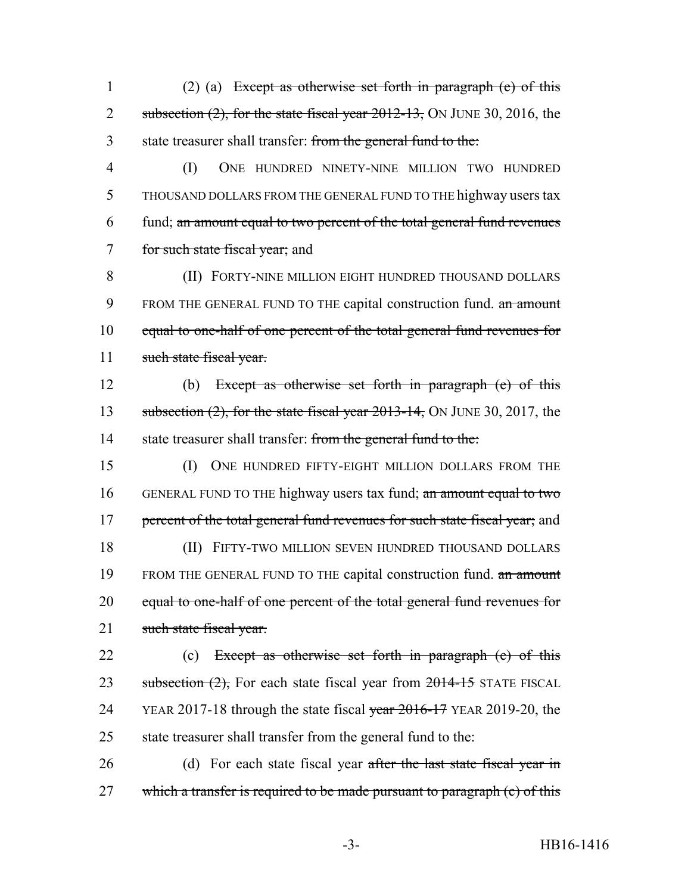1 (2) (a) Except as otherwise set forth in paragraph (e) of this 2 subsection  $(2)$ , for the state fiscal year  $2012-13$ , ON JUNE 30, 2016, the 3 state treasurer shall transfer: from the general fund to the:

 (I) ONE HUNDRED NINETY-NINE MILLION TWO HUNDRED THOUSAND DOLLARS FROM THE GENERAL FUND TO THE highway users tax fund; an amount equal to two percent of the total general fund revenues for such state fiscal year; and

8 (II) FORTY-NINE MILLION EIGHT HUNDRED THOUSAND DOLLARS 9 FROM THE GENERAL FUND TO THE capital construction fund. an amount 10 equal to one-half of one percent of the total general fund revenues for 11 such state fiscal year.

12 (b) Except as otherwise set forth in paragraph (e) of this 13 subsection (2), for the state fiscal year 2013-14, ON JUNE 30, 2017, the 14 state treasurer shall transfer: from the general fund to the:

15 (I) ONE HUNDRED FIFTY-EIGHT MILLION DOLLARS FROM THE 16 GENERAL FUND TO THE highway users tax fund; an amount equal to two 17 percent of the total general fund revenues for such state fiscal year; and 18 (II) FIFTY-TWO MILLION SEVEN HUNDRED THOUSAND DOLLARS 19 FROM THE GENERAL FUND TO THE capital construction fund. an amount 20 equal to one-half of one percent of the total general fund revenues for 21 such state fiscal year.

22 (c) Except as otherwise set forth in paragraph (e) of this 23 subsection  $(2)$ , For each state fiscal year from  $2014-15$  STATE FISCAL 24 YEAR 2017-18 through the state fiscal year 2016-17 YEAR 2019-20, the 25 state treasurer shall transfer from the general fund to the:

26 (d) For each state fiscal year after the last state fiscal year in 27 which a transfer is required to be made pursuant to paragraph (c) of this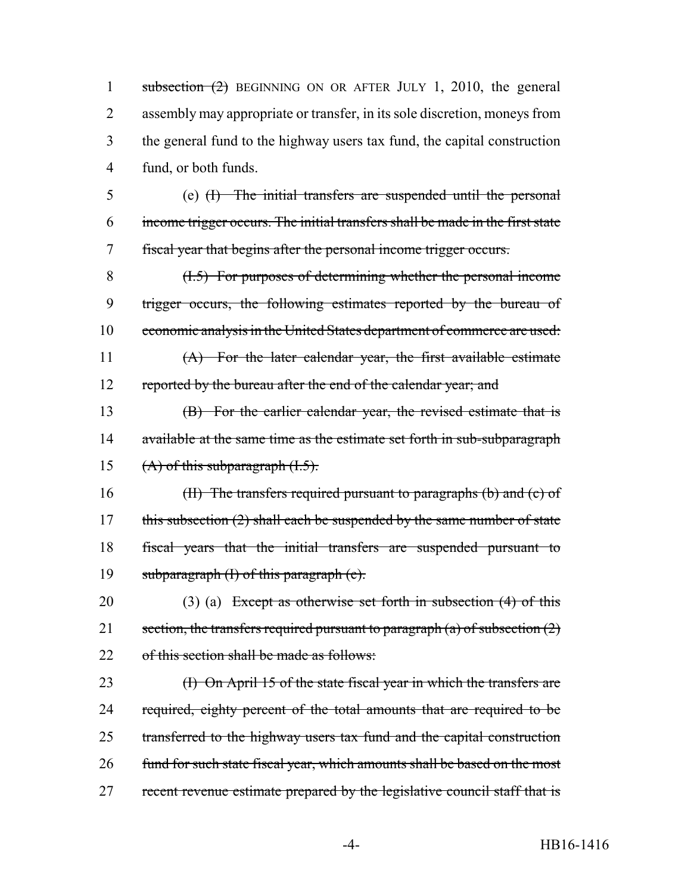subsection (2) BEGINNING ON OR AFTER JULY 1, 2010, the general assembly may appropriate or transfer, in its sole discretion, moneys from the general fund to the highway users tax fund, the capital construction fund, or both funds.

5 (e) (I) The initial transfers are suspended until the personal 6 income trigger occurs. The initial transfers shall be made in the first state 7 fiscal year that begins after the personal income trigger occurs.

8 (I.5) For purposes of determining whether the personal income 9 trigger occurs, the following estimates reported by the bureau of 10 economic analysis in the United States department of commerce are used:

11 (A) For the later calendar year, the first available estimate 12 reported by the bureau after the end of the calendar year; and

13 (B) For the earlier calendar year, the revised estimate that is 14 available at the same time as the estimate set forth in sub-subparagraph 15  $(A)$  of this subparagraph  $(1.5)$ .

16 (II) The transfers required pursuant to paragraphs (b) and (c) of 17 this subsection (2) shall each be suspended by the same number of state 18 fiscal years that the initial transfers are suspended pursuant to 19 subparagraph  $(I)$  of this paragraph  $(e)$ .

20 (3) (a) Except as otherwise set forth in subsection  $(4)$  of this 21 section, the transfers required pursuant to paragraph  $(a)$  of subsection  $(2)$ 22 of this section shall be made as follows:

23 (I) On April 15 of the state fiscal year in which the transfers are 24 required, eighty percent of the total amounts that are required to be 25 transferred to the highway users tax fund and the capital construction 26 fund for such state fiscal year, which amounts shall be based on the most 27 recent revenue estimate prepared by the legislative council staff that is